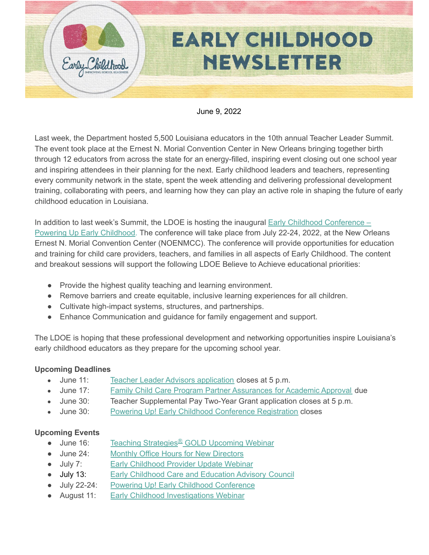

#### June 9, 2022

Last week, the Department hosted 5,500 Louisiana educators in the 10th annual Teacher Leader Summit. The event took place at the Ernest N. Morial Convention Center in New Orleans bringing together birth through 12 educators from across the state for an energy-filled, inspiring event closing out one school year and inspiring attendees in their planning for the next. Early childhood leaders and teachers, representing every community network in the state, spent the week attending and delivering professional development training, collaborating with peers, and learning how they can play an active role in shaping the future of early childhood education in Louisiana.

In addition to last week's Summit, the LDOE is hosting the inaugural Early Childhood [Conference](https://www.louisianabelieves.com/early-childhood-conference-2022) -Powering Up Early [Childhood](https://www.louisianabelieves.com/early-childhood-conference-2022). The conference will take place from July 22-24, 2022, at the New Orleans Ernest N. Morial Convention Center (NOENMCC). The conference will provide opportunities for education and training for child care providers, teachers, and families in all aspects of Early Childhood. The content and breakout sessions will support the following LDOE Believe to Achieve educational priorities:

- Provide the highest quality teaching and learning environment.
- Remove barriers and create equitable, inclusive learning experiences for all children.
- Cultivate high-impact systems, structures, and partnerships.
- Enhance Communication and guidance for family engagement and support.

The LDOE is hoping that these professional development and networking opportunities inspire Louisiana's early childhood educators as they prepare for the upcoming school year.

#### **Upcoming Deadlines**

- June 11: Teacher Leader Advisors [application](https://www.louisianabelieves.com/docs/default-source/louisiana-teacher-leaders/teacher-leader-advisor-flyer.pdf) closes at 5 p.m.
- June 17: Family Child Care Program Partner [Assurances](https://form.jotform.com/220745546363155) for Academic Approval due
- June 30: Teacher Supplemental Pay Two-Year Grant application closes at 5 p.m.
- June 30: Powering Up! Early Childhood Conference [Registration](https://louisianabelieves.com/early-childhood-conference-2022) closes

#### **Upcoming Events**

- June 16: Teaching [Strategies](https://teachingstrategies.com/webinar/reflective-thinking-head-start/)<sup>®</sup> GOLD Upcoming Webinar
- June 24: Monthly Office Hours for New [Directors](https://ldoe.zoom.us/j/99928176003)
- **July 7:** Early [Childhood](https://ldoe.zoom.us/j/93597745872?pwd=N29GbDNzZ3FRbnkxYVNGaGZZdHI3dz09) Provider Update Webinar
- July 13: Early [Childhood](https://livestream.com/louisianabelieves/events/10098749) Care and Education Advisory Council
- July 22-24: Powering Up! Early Childhood [Conference](https://louisianabelieves.com/early-childhood-conference-2022)
- August 11: Early Childhood [Investigations](https://www.earlychildhoodwebinars.com/webinars/removing-barriers-in-play-to-include-all-children/) Webinar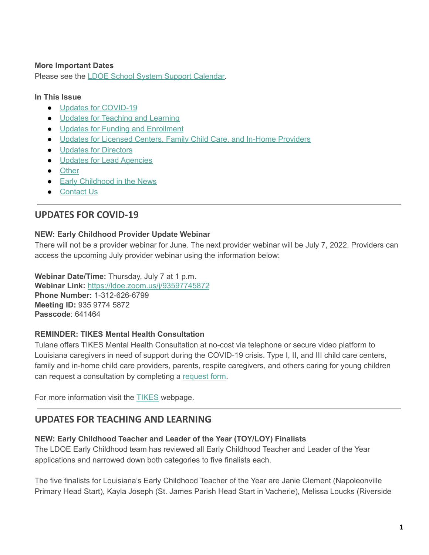#### **More Important Dates**

Please see the LDOE School System Support [Calendar.](https://louisianabelieves.com/resources/school-system-support-calendar)

#### **In This Issue**

- Updates for [COVID-19](#page-1-0)
- Updates for [Teaching](#page-1-1) and Learning
- Updates for Funding and [Enrollment](#page-4-0)
- Updates for Licensed Centers, Family Child Care, and In-Home [Providers](#page-5-0)
- Updates for [Directors](#page-7-0)
- Updates for Lead [Agencies](#page-8-0)
- [Other](#page-9-0)
- Early [Childhood](#page-9-1) in the News
- [Contact](#page-9-2) Us

# <span id="page-1-0"></span>**UPDATES FOR COVID-19**

### **NEW: Early Childhood Provider Update Webinar**

There will not be a provider webinar for June. The next provider webinar will be July 7, 2022. Providers can access the upcoming July provider webinar using the information below:

**Webinar Date/Time:** Thursday, July 7 at 1 p.m. **Webinar Link:** [https://ldoe.zoom.us/j/93597745872](https://ldoe.zoom.us/j/93597745872?pwd=N29GbDNzZ3FRbnkxYVNGaGZZdHI3dz09) **Phone Number:** 1-312-626-6799 **Meeting ID:** 935 9774 5872 **Passcode**: 641464

#### **REMINDER: TIKES Mental Health Consultation**

Tulane offers TIKES Mental Health Consultation at no-cost via telephone or secure video platform to Louisiana caregivers in need of support during the COVID-19 crisis. Type I, II, and III child care centers, family and in-home child care providers, parents, respite caregivers, and others caring for young children can request a consultation by completing a [request](https://medicine.tulane.edu/departments/clinical-sciences/psychiatry/research/tikes) form.

For more information visit the [TIKES](https://medicine.tulane.edu/departments/clinical-sciences/psychiatry/research/tikes) webpage.

# <span id="page-1-1"></span>**UPDATES FOR TEACHING AND LEARNING**

## **NEW: Early Childhood Teacher and Leader of the Year (TOY/LOY) Finalists**

The LDOE Early Childhood team has reviewed all Early Childhood Teacher and Leader of the Year applications and narrowed down both categories to five finalists each.

The five finalists for Louisiana's Early Childhood Teacher of the Year are Janie Clement (Napoleonville Primary Head Start), Kayla Joseph (St. James Parish Head Start in Vacherie), Melissa Loucks (Riverside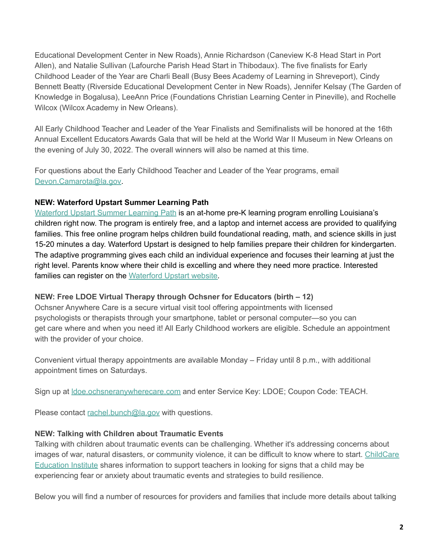Educational Development Center in New Roads), Annie Richardson (Caneview K-8 Head Start in Port Allen), and Natalie Sullivan (Lafourche Parish Head Start in Thibodaux). The five finalists for Early Childhood Leader of the Year are Charli Beall (Busy Bees Academy of Learning in Shreveport), Cindy Bennett Beatty (Riverside Educational Development Center in New Roads), Jennifer Kelsay (The Garden of Knowledge in Bogalusa), LeeAnn Price (Foundations Christian Learning Center in Pineville), and Rochelle Wilcox (Wilcox Academy in New Orleans).

All Early Childhood Teacher and Leader of the Year Finalists and Semifinalists will be honored at the 16th Annual Excellent Educators Awards Gala that will be held at the World War II Museum in New Orleans on the evening of July 30, 2022. The overall winners will also be named at this time.

For questions about the Early Childhood Teacher and Leader of the Year programs, email [Devon.Camarota@la.gov](mailto:Devon.Camarota@la.gov).

## **NEW: Waterford Upstart Summer Learning Path**

[Waterford](https://www.waterford.org/upstart/summer-learning-path/) Upstart Summer Learning Path is an at-home pre-K learning program enrolling Louisiana's children right now. The program is entirely free, and a laptop and internet access are provided to qualifying families. This free online program helps children build foundational reading, math, and science skills in just 15-20 minutes a day. Waterford Upstart is designed to help families prepare their children for kindergarten. The adaptive programming gives each child an individual experience and focuses their learning at just the right level. Parents know where their child is excelling and where they need more practice. Interested families can register on the [Waterford](https://www.waterford.org/upstart/pre-qualify/) Upstart website.

#### **NEW: Free LDOE Virtual Therapy through Ochsner for Educators (birth – 12)**

Ochsner Anywhere Care is a secure virtual visit tool offering appointments with licensed psychologists or therapists through your smartphone, tablet or personal computer—so you can get care where and when you need it! All Early Childhood workers are eligible. Schedule an appointment with the provider of your choice.

Convenient virtual therapy appointments are available Monday – Friday until 8 p.m., with additional appointment times on Saturdays.

Sign up at [ldoe.ochsneranywherecare.com](http://ldoe.ochsneranywherecare.com) and enter Service Key: LDOE; Coupon Code: TEACH.

Please contact [rachel.bunch@la.gov](mailto:rachel.bunch@la.gov) with questions.

## **NEW: Talking with Children about Traumatic Events**

Talking with children about traumatic events can be challenging. Whether it's addressing concerns about images of war, natural disasters, or community violence, it can be difficult to know where to start. [ChildCare](https://www.cceionline.com/talking-with-children-about-traumatic-events/) [Education](https://www.cceionline.com/talking-with-children-about-traumatic-events/) Institute shares information to support teachers in looking for signs that a child may be experiencing fear or anxiety about traumatic events and strategies to build resilience.

Below you will find a number of resources for providers and families that include more details about talking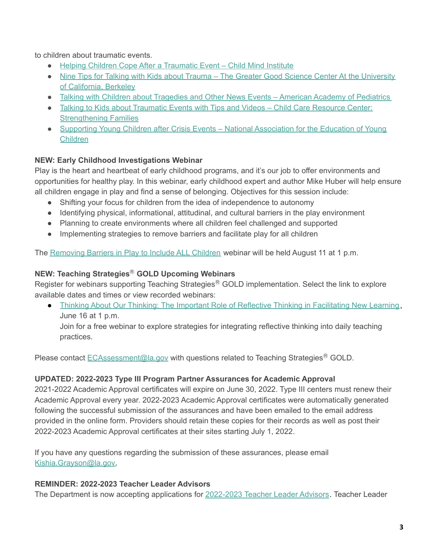to children about traumatic events.

- Helping Children Cope After a [Traumatic](http://childmind.org/wp-content/uploads/Child-Mind-Intitute-Parents-Guide-Traumatic-Event.pdf) Event Child Mind Institute
- Nine Tips for Talking with Kids about Trauma The Greater Good Science Center At the [University](https://greatergood.berkeley.edu/article/item/nine_tips_for_talking_to_kids_about_trauma) of [California,](https://greatergood.berkeley.edu/article/item/nine_tips_for_talking_to_kids_about_trauma) Berkeley
- Talking with Children about [Tragedies](https://www.healthychildren.org/English/family-life/Media/Pages/Talking-To-Children-About-Tragedies-and-Other-News-Events.aspx) and Other News Events American Academy of Pediatrics
- Talking to Kids about [Traumatic](https://www.ccrcca.org/parents/strengthening-families-blog/item/talking-to-kids-about-traumatic-events-with-tips-and-videos/) Events with Tips and Videos Child Care Resource Center: **[Strengthening](https://www.ccrcca.org/parents/strengthening-families-blog/item/talking-to-kids-about-traumatic-events-with-tips-and-videos/) Families**
- Supporting Young Children after Crisis Events National [Association](https://www.naeyc.org/resources/pubs/yc/jul2020/supporting-young-children-after-crisis-events) for the Education of Young [Children](https://www.naeyc.org/resources/pubs/yc/jul2020/supporting-young-children-after-crisis-events)

# **NEW: Early Childhood Investigations Webinar**

Play is the heart and heartbeat of early childhood programs, and it's our job to offer environments and opportunities for healthy play. In this webinar, early childhood expert and author Mike Huber will help ensure all children engage in play and find a sense of belonging. Objectives for this session include:

- Shifting your focus for children from the idea of independence to autonomy
- Identifying physical, informational, attitudinal, and cultural barriers in the play environment
- Planning to create environments where all children feel challenged and supported
- Implementing strategies to remove barriers and facilitate play for all children

The [Removing](https://www.earlychildhoodwebinars.com/webinars/removing-barriers-in-play-to-include-all-children/) Barriers in Play to Include ALL Children webinar will be held August 11 at 1 p.m.

# **NEW: Teaching Strategies**Ⓡ **GOLD Upcoming Webinars**

Register for webinars supporting Teaching Strategies<sup>®</sup> GOLD implementation. Select the link to explore available dates and times or view recorded webinars:

● Thinking About Our Thinking: The Important Role of Reflective Thinking in [Facilitating](https://teachingstrategies.com/webinar/reflective-thinking-head-start/) New Learning, June 16 at 1 p.m.

Join for a free webinar to explore strategies for integrating reflective thinking into daily teaching practices.

Please contact **[ECAssessment@la.gov](mailto:ECAssessment@la.gov)** with questions related to Teaching Strategies<sup>®</sup> GOLD.

# **UPDATED: 2022-2023 Type III Program Partner Assurances for Academic Approval**

2021-2022 Academic Approval certificates will expire on June 30, 2022. Type III centers must renew their Academic Approval every year. 2022-2023 Academic Approval certificates were automatically generated following the successful submission of the assurances and have been emailed to the email address provided in the online form. Providers should retain these copies for their records as well as post their 2022-2023 Academic Approval certificates at their sites starting July 1, 2022.

If you have any questions regarding the submission of these assurances, please email [Kishia.Grayson@la.gov.](mailto:kishia.grayson@la.gov)

# **REMINDER: 2022-2023 Teacher Leader Advisors**

The Department is now accepting applications for [2022-2023](https://www.louisianabelieves.com/docs/default-source/louisiana-teacher-leaders/teacher-leader-advisor-flyer.pdf) Teacher Leader Advisors. Teacher Leader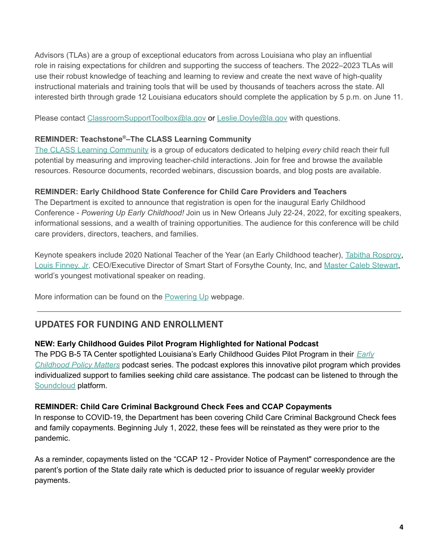Advisors (TLAs) are a group of exceptional educators from across Louisiana who play an influential role in raising expectations for children and supporting the success of teachers. The 2022–2023 TLAs will use their robust knowledge of teaching and learning to review and create the next wave of high-quality instructional materials and training tools that will be used by thousands of teachers across the state. All interested birth through grade 12 Louisiana educators should complete the application by 5 p.m. on June 11.

Please contact [ClassroomSupportToolbox@la.gov](mailto:ClassroomSupportToolbox@la.gov) or [Leslie.Doyle@la.gov](mailto:leslie.doyle@la.gov) with questions.

### **REMINDER: Teachstone ®–The CLASS Learning Community**

The CLASS Learning [Community](https://urldefense.proofpoint.com/v2/url?u=https-3A__info.teachstone.com_e3t_Btc_2F-2B113_c27hm04_VVsDNZ3P29wJW5RShQd4TGfrFV7Wb0N4Gf1z9M-5Fh9pm3q3npV1-2DWJV7CgD6XW4-2DHpJs3zkBFqW5yXC-2DD3Lv6l4W5TDGRZ9fG3RZW8cGL2-5F1xfwlVW4BC8zL3dkW9XN3Q4RS72DRv7W5kBh-2DL7RWvjBW8Qg47h7xG6PsW3YK2pr39XqDbW4thrks4gMBnLN4j1qT-2DskxwsW1F3lLz2BZGRTW4SkrP31Y9ScnW9hkQ0T350qcvW4cmPvC3vRRjxW3080ZH2QVJQxW3Fh3Ct7f3GNTW8ydwC71nT-2DJZW6zflX-2D5VJgS7W90f-2DDG2VKmcmW9fRSpp6tj82yW8BcWj28r8vc23lL81&d=DwMFaQ&c=xlPCXuHzMdaH2Flc1sgyicYpGQbQbU9KDEmgNF3_wI0&r=8XJCv_ZDVib2hX6XiqGP3S3w4qzgqnmR1tO4SXobYGU&m=w0raAdkSY4Gn8wYNu1R3RxweCeVVklJjhxpyIr4eHa0&s=lX_dEZQyoujFlfgmVJlQVPW13G3ymuMo3k8dT-Yv-S8&e=) is a group of educators dedicated to helping *every* child reach their full potential by measuring and improving teacher-child interactions. Join for free and browse the available resources. Resource documents, recorded webinars, discussion boards, and blog posts are available.

## **REMINDER: Early Childhood State Conference for Child Care Providers and Teachers**

The Department is excited to announce that registration is open for the inaugural Early Childhood Conference - *Powering Up Early Childhood!* Join us in New Orleans July 22-24, 2022, for exciting speakers, informational sessions, and a wealth of training opportunities. The audience for this conference will be child care providers, directors, teachers, and families.

Keynote speakers include 2020 National Teacher of the Year (an Early Childhood teacher), Tabitha [Rosproy,](https://ntoy.ccsso.org/tabatha-rosproy/) Louis [Finney,](https://smartstart-fc.org/) Jr, CEO/Executive Director of Smart Start of Forsythe County, Inc, and Master Caleb [Stewart](https://www.nbc.com/little-big-shots/video/fiveyearold-master-caleb-is-the-worlds-youngest-motivational-speaker-little-big-shots/4143630), world's youngest motivational speaker on reading.

More information can be found on the [Powering](https://www.louisianabelieves.com/early-childhood-conference-2022) Up webpage.

# <span id="page-4-0"></span>**UPDATES FOR FUNDING AND ENROLLMENT**

## **NEW: Early Childhood Guides Pilot Program Highlighted for National Podcast**

The PDG B-5 TA Center spotlighted Louisiana's Early Childhood Guides Pilot Program in their *[Early](https://soundcloud.com/ecpolicymatters) [Childhood](https://soundcloud.com/ecpolicymatters) Policy Matters* podcast series. The podcast explores this innovative pilot program which provides individualized support to families seeking child care assistance. The podcast can be listened to through the [Soundcloud](https://soundcloud.com/ecpolicymatters/guiding-families-through-early-childhood-in-louisiana) platform.

#### **REMINDER: Child Care Criminal Background Check Fees and CCAP Copayments**

In response to COVID-19, the Department has been covering Child Care Criminal Background Check fees and family copayments. Beginning July 1, 2022, these fees will be reinstated as they were prior to the pandemic.

As a reminder, copayments listed on the "CCAP 12 - Provider Notice of Payment" correspondence are the parent's portion of the State daily rate which is deducted prior to issuance of regular weekly provider payments.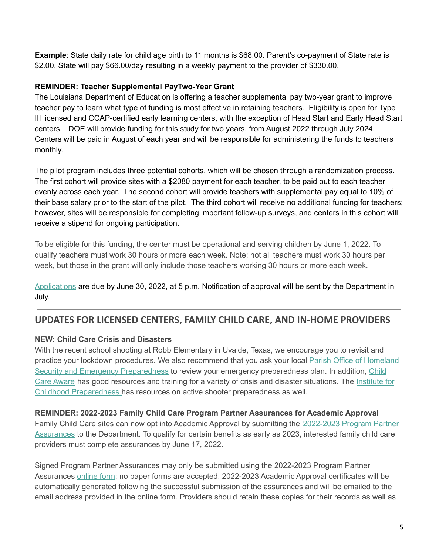**Example**: State daily rate for child age birth to 11 months is \$68.00. Parent's co-payment of State rate is \$2.00. State will pay \$66.00/day resulting in a weekly payment to the provider of \$330.00.

#### **REMINDER: Teacher Supplemental PayTwo-Year Grant**

The Louisiana Department of Education is offering a teacher supplemental pay two-year grant to improve teacher pay to learn what type of funding is most effective in retaining teachers. Eligibility is open for Type III licensed and CCAP-certified early learning centers, with the exception of Head Start and Early Head Start centers. LDOE will provide funding for this study for two years, from August 2022 through July 2024. Centers will be paid in August of each year and will be responsible for administering the funds to teachers monthly.

The pilot program includes three potential cohorts, which will be chosen through a randomization process. The first cohort will provide sites with a \$2080 payment for each teacher, to be paid out to each teacher evenly across each year. The second cohort will provide teachers with supplemental pay equal to 10% of their base salary prior to the start of the pilot. The third cohort will receive no additional funding for teachers; however, sites will be responsible for completing important follow-up surveys, and centers in this cohort will receive a stipend for ongoing participation.

To be eligible for this funding, the center must be operational and serving children by June 1, 2022. To qualify teachers must work 30 hours or more each week. Note: not all teachers must work 30 hours per week, but those in the grant will only include those teachers working 30 hours or more each week.

[Applications](https://louisiana.qualtrics.com/jfe/form/SV_b8ipk70MZqAPxB4) are due by June 30, 2022, at 5 p.m. Notification of approval will be sent by the Department in July.

# <span id="page-5-0"></span>**UPDATES FOR LICENSED CENTERS, FAMILY CHILD CARE, AND IN-HOME PROVIDERS**

## **NEW: Child Care Crisis and Disasters**

With the recent school shooting at Robb Elementary in Uvalde, Texas, we encourage you to revisit and practice your lockdown procedures. We also recommend that you ask your local Parish Office of [Homeland](http://gohsep.la.gov/ABOUT/PARISHPA) Security and Emergency [Preparedness](http://gohsep.la.gov/ABOUT/PARISHPA) to review your emergency preparedness plan. In addition, [Child](https://www.childcareaware.org/our-issues/crisis-and-disaster-resources/) Care [Aware](https://www.childcareaware.org/our-issues/crisis-and-disaster-resources/) has good resources and training for a variety of crisis and disaster situations. The [Institute](https://www.childhoodpreparedness.org/online) for Childhood [Preparedness](https://www.childhoodpreparedness.org/online) has resources on active shooter preparedness as well.

#### **REMINDER: 2022-2023 Family Child Care Program Partner Assurances for Academic Approval**

Family Child Care sites can now opt into Academic Approval by submitting the [2022-2023](https://form.jotform.com/220745546363155) Program Partner [Assurances](https://form.jotform.com/220745546363155) to the Department. To qualify for certain benefits as early as 2023, interested family child care providers must complete assurances by June 17, 2022.

Signed Program Partner Assurances may only be submitted using the 2022-2023 Program Partner Assurances [online](https://form.jotform.com/220745546363155) form; no paper forms are accepted. 2022-2023 Academic Approval certificates will be automatically generated following the successful submission of the assurances and will be emailed to the email address provided in the online form. Providers should retain these copies for their records as well as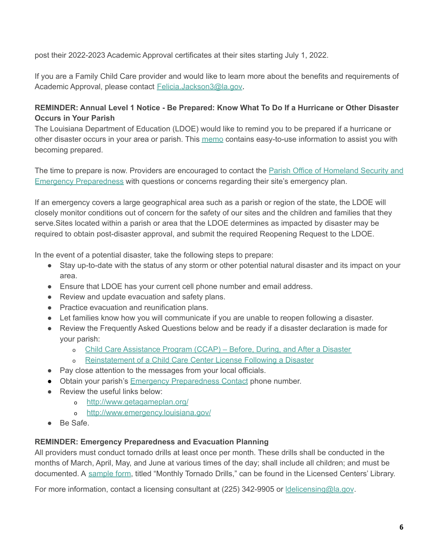post their 2022-2023 Academic Approval certificates at their sites starting July 1, 2022.

If you are a Family Child Care provider and would like to learn more about the benefits and requirements of Academic Approval, please contact [Felicia.Jackson3@la.gov.](mailto:Felicia.Jackson3@la.gov)

## **REMINDER: Annual Level 1 Notice - Be Prepared: Know What To Do If a Hurricane or Other Disaster Occurs in Your Parish**

The Louisiana Department of Education (LDOE) would like to remind you to be prepared if a hurricane or other disaster occurs in your area or parish. This [memo](https://www.louisianabelieves.com/docs/default-source/child-care-providers/ccdf-annual-notice---level-1.pdf?sfvrsn=fc566518_2) contains easy-to-use information to assist you with becoming prepared.

The time to prepare is now. Providers are encouraged to contact the Parish Office of [Homeland](http://gohsep.la.gov/ABOUT/PARISHPA) Security and Emergency [Preparedness](http://gohsep.la.gov/ABOUT/PARISHPA) with questions or concerns regarding their site's emergency plan.

If an emergency covers a large geographical area such as a parish or region of the state, the LDOE will closely monitor conditions out of concern for the safety of our sites and the children and families that they serve.Sites located within a parish or area that the LDOE determines as impacted by disaster may be required to obtain post-disaster approval, and submit the required Reopening Request to the LDOE.

In the event of a potential disaster, take the following steps to prepare:

- Stay up-to-date with the status of any storm or other potential natural disaster and its impact on your area.
- Ensure that LDOE has your current cell phone number and email address.
- Review and update evacuation and safety plans.
- Practice evacuation and reunification plans.
- Let families know how you will communicate if you are unable to reopen following a disaster.
- Review the Frequently Asked Questions below and be ready if a disaster declaration is made for your parish:
	- o Child Care [Assistance](https://louisianabelieves.com/docs/default-source/early-childhood/child-care-assistance-program---before-during-and-after-a-disaster.pdf) Program (CCAP) Before, During, and After a Disaster
	- o [Reinstatement](https://www.louisianabelieves.com/docs/default-source/early-childhood/reinstatement-of-a-child-care-center-license-following-a-disaster.pdf?sfvrsn=c4386718_2) of a Child Care Center License Following a Disaster
- Pay close attention to the messages from your local officials.
- Obtain your parish's **Emergency [Preparedness](http://gohsep.la.gov/ABOUT/PARISHPA) Contact phone number.**
- Review the useful links below:
	- o <http://www.getagameplan.org/>
	- o <http://www.emergency.louisiana.gov/>
- Be Safe.

#### **REMINDER: Emergency Preparedness and Evacuation Planning**

All providers must conduct tornado drills at least once per month. These drills shall be conducted in the months of March, April, May, and June at various times of the day; shall include all children; and must be documented. A [sample](https://www.louisianabelieves.com/docs/default-source/early-childhood/1921-f-monthly-tornado-drills.pdf?sfvrsn=ca418e1f_12) form, titled "Monthly Tornado Drills," can be found in the Licensed Centers' Library.

For more information, contact a licensing consultant at (225) 342-9905 or *delicensing@la.gov.*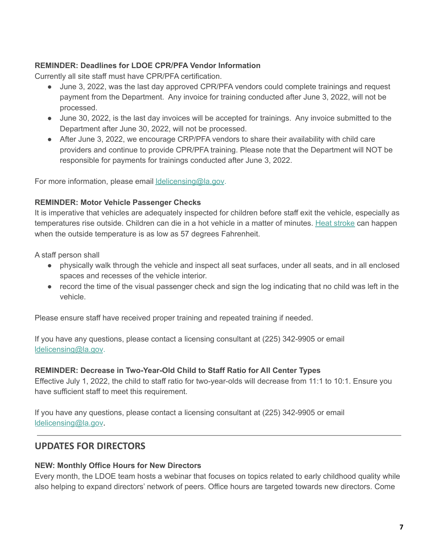### **REMINDER: Deadlines for LDOE CPR/PFA Vendor Information**

Currently all site staff must have CPR/PFA certification.

- June 3, 2022, was the last day approved CPR/PFA vendors could complete trainings and request payment from the Department. Any invoice for training conducted after June 3, 2022, will not be processed.
- June 30, 2022, is the last day invoices will be accepted for trainings. Any invoice submitted to the Department after June 30, 2022, will not be processed.
- After June 3, 2022, we encourage CRP/PFA vendors to share their availability with child care providers and continue to provide CPR/PFA training. Please note that the Department will NOT be responsible for payments for trainings conducted after June 3, 2022.

For more information, please email **delicensing@la.gov**.

#### **REMINDER: Motor Vehicle Passenger Checks**

It is imperative that vehicles are adequately inspected for children before staff exit the vehicle, especially as temperatures rise outside. Children can die in a hot vehicle in a matter of minutes. Heat [stroke](https://www.healthychildren.org/English/safety-prevention/on-the-go/Pages/Prevent-Child-Deaths-in-Hot-Cars.aspx) can happen when the outside temperature is as low as 57 degrees Fahrenheit.

A staff person shall

- physically walk through the vehicle and inspect all seat surfaces, under all seats, and in all enclosed spaces and recesses of the vehicle interior.
- record the time of the visual passenger check and sign the log indicating that no child was left in the vehicle.

Please ensure staff have received proper training and repeated training if needed.

If you have any questions, please contact a licensing consultant at (225) 342-9905 or email [ldelicensing@la.gov](mailto:ldelicensing@la.gov).

#### **REMINDER: Decrease in Two-Year-Old Child to Staff Ratio for All Center Types**

Effective July 1, 2022, the child to staff ratio for two-year-olds will decrease from 11:1 to 10:1. Ensure you have sufficient staff to meet this requirement.

If you have any questions, please contact a licensing consultant at (225) 342-9905 or email [ldelicensing@la.gov](mailto:ldelicensing@la.gov).

# <span id="page-7-0"></span>**UPDATES FOR DIRECTORS**

#### **NEW: Monthly Office Hours for New Directors**

Every month, the LDOE team hosts a webinar that focuses on topics related to early childhood quality while also helping to expand directors' network of peers. Office hours are targeted towards new directors. Come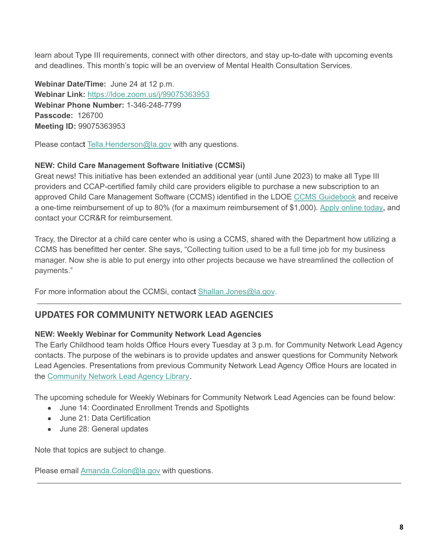learn about Type III requirements, connect with other directors, and stay up-to-date with upcoming events and deadlines. This month's topic will be an overview of Mental Health Consultation Services.

**Webinar Date/Time:** June 24 at 12 p.m. **Webinar Link:** [https://ldoe.zoom.us/j/99075363953](https://ldoe.zoom.us/j/99928176003) **Webinar Phone Number:** 1-346-248-7799 **Passcode:** 126700 **Meeting ID:** 99075363953

Please contact [Tella.Henderson@la.gov](mailto:tella.henderson@la.gov) with any questions.

## **NEW: Child Care Management Software Initiative (CCMSi)**

Great news! This initiative has been extended an additional year (until June 2023) to make all Type III providers and CCAP-certified family child care providers eligible to purchase a new subscription to an approved Child Care Management Software (CCMS) identified in the LDOE CCMS [Guidebook](https://urldefense.proofpoint.com/v2/url?u=https-3A__www.louisianabelieves.com_docs_default-2Dsource_early-2Dchildhood_2021-2Dchild-2Dcare-2Dmanagement-2Dsoftware-2D-28ccms-29-2Dinitiative-2Dguidebook.pdf&d=DwMFaQ&c=xlPCXuHzMdaH2Flc1sgyicYpGQbQbU9KDEmgNF3_wI0&r=OSa83HuHhXTZZE1zi887Pgx_Ay6pvsXUdulAIWhaZVU&m=sxhnqmwhVBWc6lI8Y-HkRYnBHeYtSKE7IrNoJE-IYFY&s=rbuzQzQRo2X8F7_LxuSUyDcoYidbTjSvwMDOJg-czu4&e=) and receive a one-time reimbursement of up to 80% (for a maximum reimbursement of \$1,000). Apply [online](https://www.louisianabelieves.com/docs/default-source/early-childhood/2021-ccmsi-provider-application.pdf) today, and contact your CCR&R for reimbursement.

Tracy, the Director at a child care center who is using a CCMS, shared with the Department how utilizing a CCMS has benefitted her center. She says, "Collecting tuition used to be a full time job for my business manager. Now she is able to put energy into other projects because we have streamlined the collection of payments."

For more information about the CCMSi, contact [Shallan.Jones@la.gov](mailto:shallan.jones@la.gov).

# <span id="page-8-0"></span>**UPDATES FOR COMMUNITY NETWORK LEAD AGENCIES**

## **NEW: Weekly Webinar for Community Network Lead Agencies**

The Early Childhood team holds Office Hours every Tuesday at 3 p.m. for Community Network Lead Agency contacts. The purpose of the webinars is to provide updates and answer questions for Community Network Lead Agencies. Presentations from previous Community Network Lead Agency Office Hours are located in the [Community](https://www.louisianabelieves.com/resources/library/lead-agencies) Network Lead Agency Library.

The upcoming schedule for Weekly Webinars for Community Network Lead Agencies can be found below:

- June 14: Coordinated Enrollment Trends and Spotlights
- June 21: Data Certification
- June 28: General updates

Note that topics are subject to change.

Please email [Amanda.Colon@la.gov](mailto:amanda.colon@la.gov) with questions.